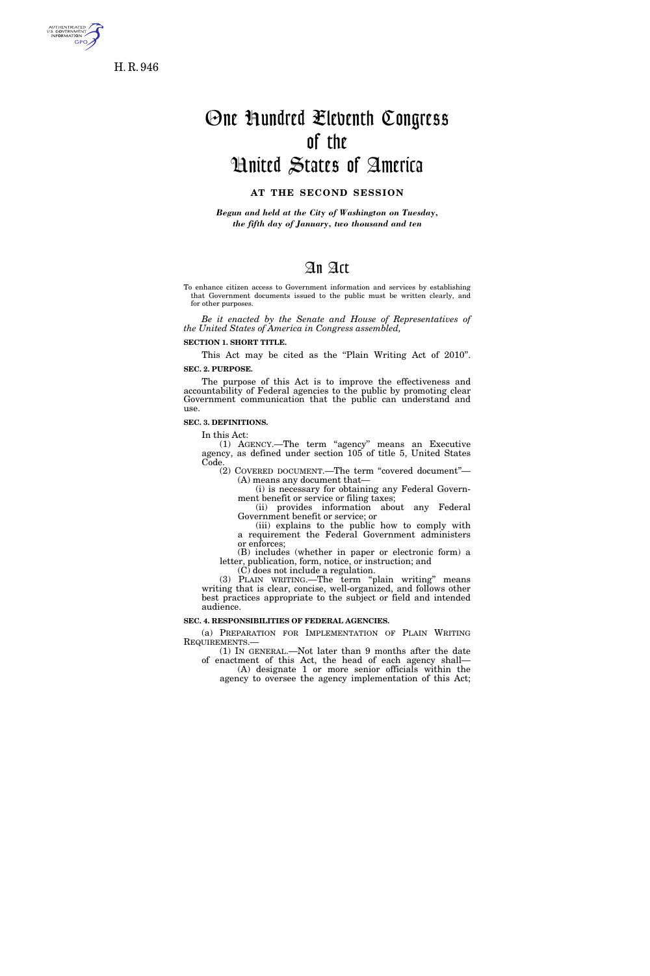

H. R. 946

# One Hundred Eleventh Congress of the United States of America

## **AT THE SECOND SESSION**

*Begun and held at the City of Washington on Tuesday, the fifth day of January, two thousand and ten* 

## An Act

To enhance citizen access to Government information and services by establishing that Government documents issued to the public must be written clearly, and for other purposes.

*Be it enacted by the Senate and House of Representatives of the United States of America in Congress assembled,* 

**SECTION 1. SHORT TITLE.** 

This Act may be cited as the "Plain Writing Act of 2010". **SEC. 2. PURPOSE.** 

The purpose of this Act is to improve the effectiveness and accountability of Federal agencies to the public by promoting clear Government communication that the public can understand and use.

#### **SEC. 3. DEFINITIONS.**

In this Act:

(1) AGENCY.—The term ''agency'' means an Executive agency, as defined under section 105 of title 5, United States Code.

(2) COVERED DOCUMENT.—The term ''covered document''— (A) means any document that—

(i) is necessary for obtaining any Federal Government benefit or service or filing taxes;

(ii) provides information about any Federal Government benefit or service; or

(iii) explains to the public how to comply with a requirement the Federal Government administers or enforces;

(B) includes (whether in paper or electronic form) a letter, publication, form, notice, or instruction; and

(C) does not include a regulation.

(3) PLAIN WRITING.—The term ''plain writing'' means writing that is clear, concise, well-organized, and follows other best practices appropriate to the subject or field and intended audience.

#### **SEC. 4. RESPONSIBILITIES OF FEDERAL AGENCIES.**

(a) PREPARATION FOR IMPLEMENTATION OF PLAIN WRITING REQUIREMENTS.—

(1) IN GENERAL.—Not later than 9 months after the date of enactment of this Act, the head of each agency shall— (A) designate 1 or more senior officials within the

agency to oversee the agency implementation of this Act;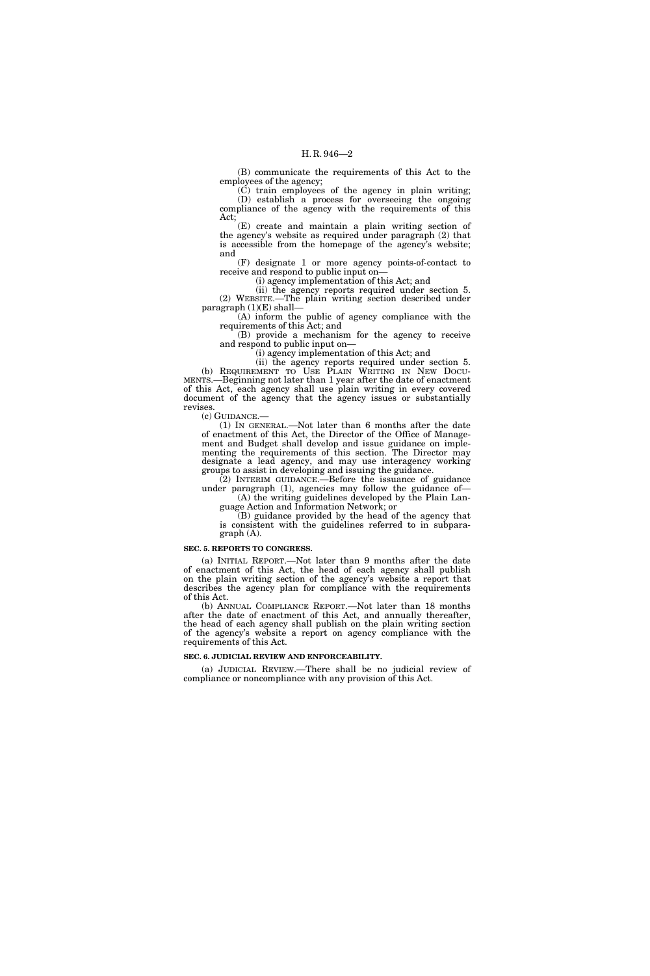(B) communicate the requirements of this Act to the employees of the agency;

 $(\check{C})$  train employees of the agency in plain writing; (D) establish a process for overseeing the ongoing compliance of the agency with the requirements of this Act;

(E) create and maintain a plain writing section of the agency's website as required under paragraph (2) that is accessible from the homepage of the agency's website; and

(F) designate 1 or more agency points-of-contact to receive and respond to public input on—

(i) agency implementation of this Act; and

(ii) the agency reports required under section 5. (2) WEBSITE.—The plain writing section described under paragraph  $(1)(E)$  shall-

(A) inform the public of agency compliance with the requirements of this Act; and

(B) provide a mechanism for the agency to receive and respond to public input on—

(i) agency implementation of this Act; and

(ii) the agency reports required under section 5. (b) REQUIREMENT TO USE PLAIN WRITING IN NEW DOCU-MENTS.—Beginning not later than 1 year after the date of enactment of this Act, each agency shall use plain writing in every covered document of the agency that the agency issues or substantially revises.<br>(c) GUIDANCE.—

(1) IN GENERAL.—Not later than  $6$  months after the date of enactment of this Act, the Director of the Office of Management and Budget shall develop and issue guidance on implementing the requirements of this section. The Director may designate a lead agency, and may use interagency working groups to assist in developing and issuing the guidance.

(2) INTERIM GUIDANCE.—Before the issuance of guidance under paragraph (1), agencies may follow the guidance of— (A) the writing guidelines developed by the Plain Lan-

guage Action and Information Network; or

(B) guidance provided by the head of the agency that is consistent with the guidelines referred to in subparagraph (A).

#### **SEC. 5. REPORTS TO CONGRESS.**

(a) INITIAL REPORT.—Not later than 9 months after the date of enactment of this Act, the head of each agency shall publish on the plain writing section of the agency's website a report that describes the agency plan for compliance with the requirements of this Act.

(b) ANNUAL COMPLIANCE REPORT.—Not later than 18 months after the date of enactment of this Act, and annually thereafter, the head of each agency shall publish on the plain writing section of the agency's website a report on agency compliance with the requirements of this Act.

#### **SEC. 6. JUDICIAL REVIEW AND ENFORCEABILITY.**

(a) JUDICIAL REVIEW.—There shall be no judicial review of compliance or noncompliance with any provision of this Act.